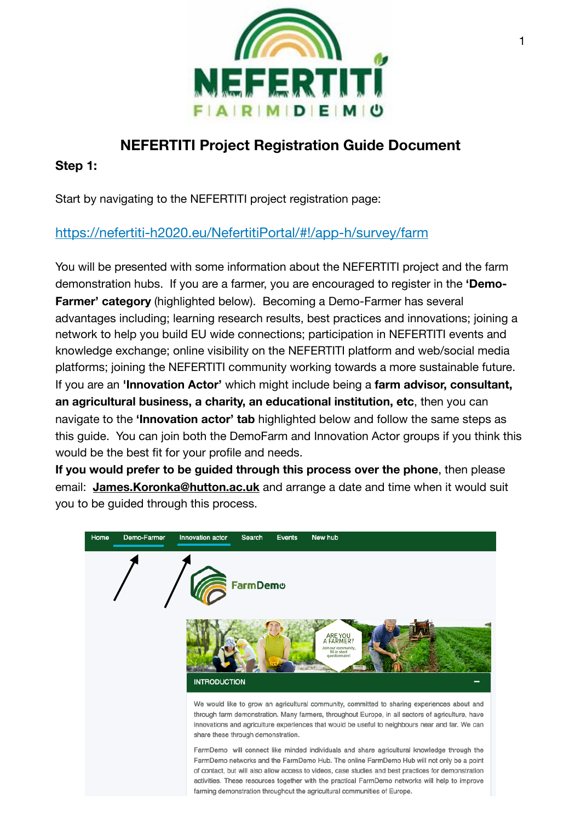

# **NEFERTITI Project Registration Guide Document**

**Step 1:** 

Start by navigating to the NEFERTITI project registration page:

## <https://nefertiti-h2020.eu/NefertitiPortal/#!/app-h/survey/farm>

You will be presented with some information about the NEFERTITI project and the farm demonstration hubs. If you are a farmer, you are encouraged to register in the **'Demo-Farmer' category** (highlighted below). Becoming a Demo-Farmer has several advantages including; learning research results, best practices and innovations; joining a network to help you build EU wide connections; participation in NEFERTITI events and knowledge exchange; online visibility on the NEFERTITI platform and web/social media platforms; joining the NEFERTITI community working towards a more sustainable future. If you are an **'Innovation Actor'** which might include being a **farm advisor, consultant, an agricultural business, a charity, an educational institution, etc**, then you can navigate to the **'Innovation actor' tab** highlighted below and follow the same steps as this guide. You can join both the DemoFarm and Innovation Actor groups if you think this would be the best fit for your profile and needs.

**If you would prefer to be guided through this process over the phone**, then please email: **James.Koronka@hutton.ac.uk** and arrange a date and time when it would suit you to be guided through this process.

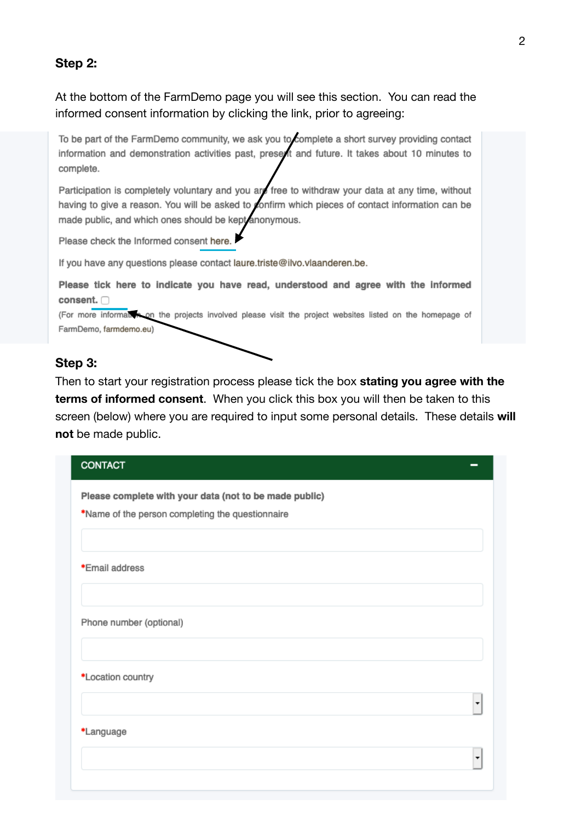#### **Step 2:**

At the bottom of the FarmDemo page you will see this section. You can read the informed consent information by clicking the link, prior to agreeing:

To be part of the FarmDemo community, we ask you to complete a short survey providing contact information and demonstration activities past, present and future. It takes about 10 minutes to complete.

Participation is completely voluntary and you are free to withdraw your data at any time, without having to give a reason. You will be asked to confirm which pieces of contact information can be made public, and which ones should be kept anonymous.

Please check the Informed consent here.

If you have any questions please contact laure.triste@ilvo.vlaanderen.be.

Please tick here to indicate you have read, understood and agree with the informed consent.

(For more informal) so on the projects involved please visit the project websites listed on the homepage of FarmDemo, farmdemo.eu)

#### **Step 3:**

Then to start your registration process please tick the box **stating you agree with the terms of informed consent**. When you click this box you will then be taken to this screen (below) where you are required to input some personal details. These details **will not** be made public.

| <b>CONTACT</b>                                         |
|--------------------------------------------------------|
| Please complete with your data (not to be made public) |
| *Name of the person completing the questionnaire       |
|                                                        |
| *Email address                                         |
|                                                        |
| Phone number (optional)                                |
|                                                        |
| *Location country                                      |
|                                                        |
| *Language                                              |
|                                                        |
|                                                        |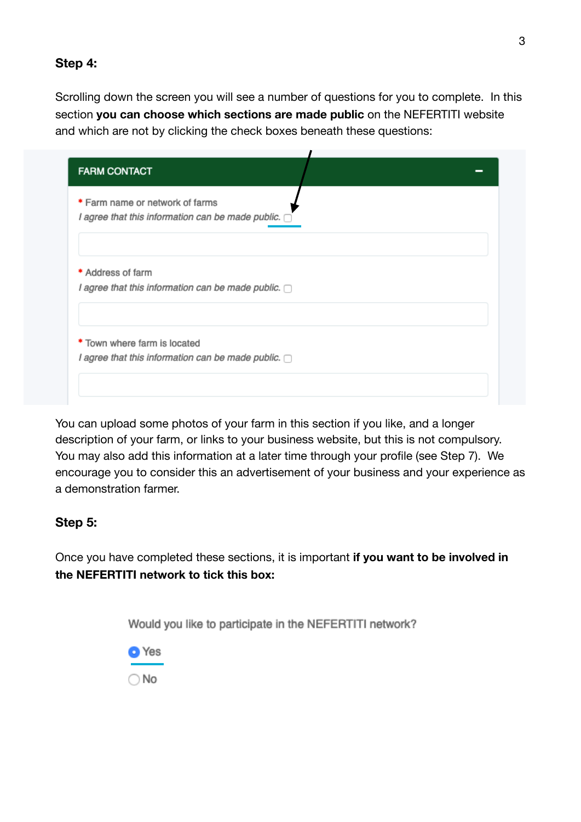#### **Step 4:**

Scrolling down the screen you will see a number of questions for you to complete. In this section **you can choose which sections are made public** on the NEFERTITI website and which are not by clicking the check boxes beneath these questions:

| * Farm name or network of farms                          |  |  |
|----------------------------------------------------------|--|--|
| I agree that this information can be made public.        |  |  |
|                                                          |  |  |
| * Address of farm                                        |  |  |
| I agree that this information can be made public. $\Box$ |  |  |
|                                                          |  |  |
| * Town where farm is located                             |  |  |
| I agree that this information can be made public. $\Box$ |  |  |

You can upload some photos of your farm in this section if you like, and a longer description of your farm, or links to your business website, but this is not compulsory. You may also add this information at a later time through your profile (see Step 7). We encourage you to consider this an advertisement of your business and your experience as a demonstration farmer.

### **Step 5:**

Once you have completed these sections, it is important **if you want to be involved in the NEFERTITI network to tick this box:**

Would you like to participate in the NEFERTITI network?

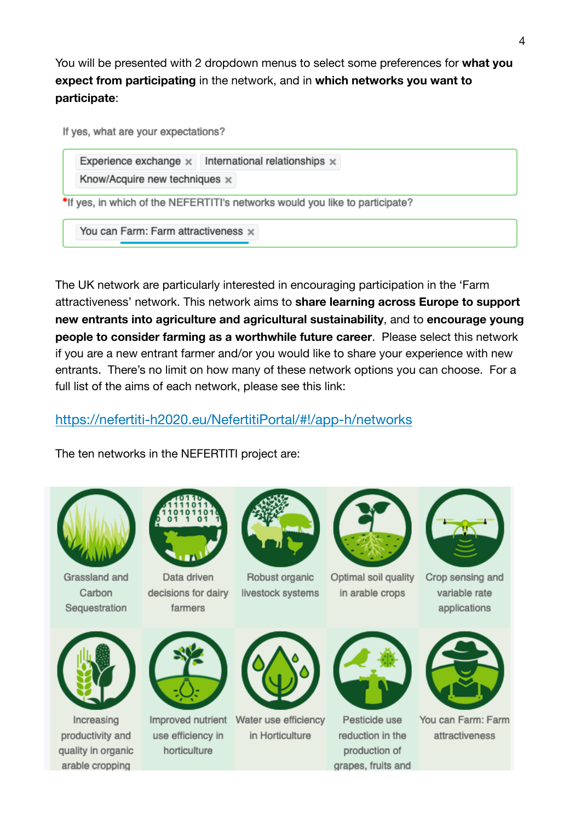You will be presented with 2 dropdown menus to select some preferences for **what you expect from participating** in the network, and in **which networks you want to participate**:

If yes, what are your expectations?

Experience exchange  $\times$  International relationships  $\times$ 

Know/Acquire new techniques x

\*If yes, in which of the NEFERTITI's networks would you like to participate?

You can Farm: Farm attractiveness x

The UK network are particularly interested in encouraging participation in the 'Farm attractiveness' network. This network aims to **share learning across Europe to support new entrants into agriculture and agricultural sustainability**, and to **encourage young people to consider farming as a worthwhile future career**. Please select this network if you are a new entrant farmer and/or you would like to share your experience with new entrants. There's no limit on how many of these network options you can choose. For a full list of the aims of each network, please see this link:

<https://nefertiti-h2020.eu/NefertitiPortal/#!/app-h/networks>

The ten networks in the NEFERTITI project are:



Grassland and Carbon Sequestration



Data driven decisions for dairy farmers



Robust organic livestock systems



Optimal soil quality in arable crops



Crop sensing and variable rate applications



Increasing productivity and quality in organic arable cropping



use efficiency in horticulture



Improved nutrient Water use efficiency in Horticulture



Pesticide use reduction in the production of grapes, fruits and



You can Farm: Farm attractiveness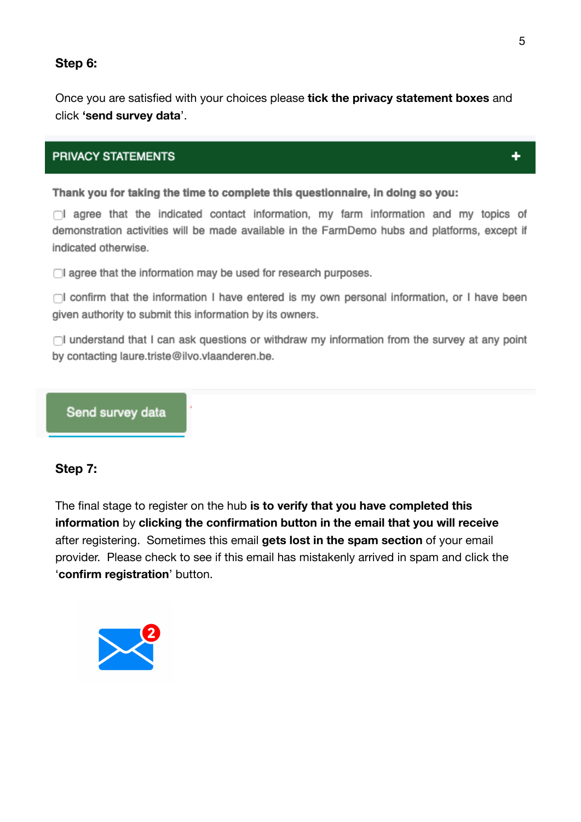#### **Step 6:**

Once you are satisfied with your choices please **tick the privacy statement boxes** and click **'send survey data**'.

#### **PRIVACY STATEMENTS**

Thank you for taking the time to complete this questionnaire, in doing so you:

 $\bigcap$  agree that the indicated contact information, my farm information and my topics of demonstration activities will be made available in the FarmDemo hubs and platforms, except if indicated otherwise.

 $\Box$  agree that the information may be used for research purposes.

 $\Box$ I confirm that the information I have entered is my own personal information, or I have been given authority to submit this information by its owners.

 $\Box$  understand that I can ask questions or withdraw my information from the survey at any point by contacting laure.triste@ilvo.vlaanderen.be.

#### Send survey data

#### **Step 7:**

The final stage to register on the hub **is to verify that you have completed this information** by **clicking the confirmation button in the email that you will receive** after registering. Sometimes this email **gets lost in the spam section** of your email provider. Please check to see if this email has mistakenly arrived in spam and click the '**confirm registration**' button.



٠